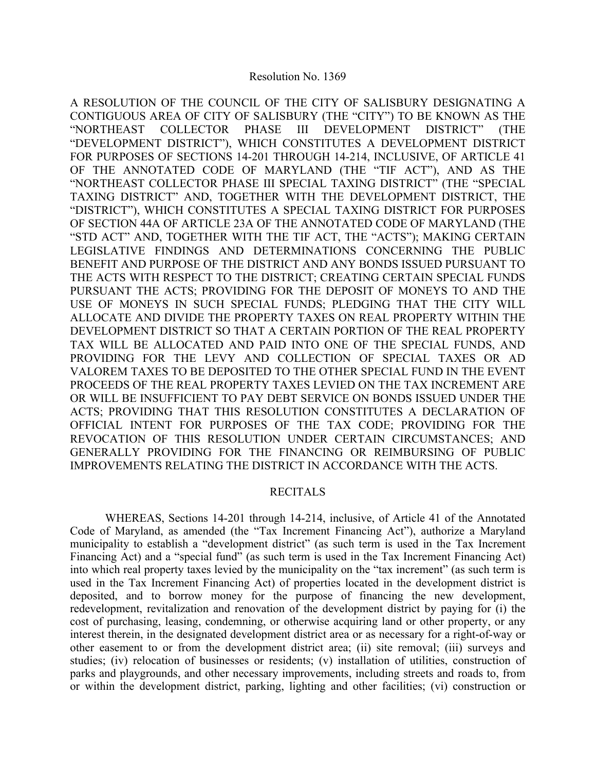#### Resolution No. 1369

A RESOLUTION OF THE COUNCIL OF THE CITY OF SALISBURY DESIGNATING A CONTIGUOUS AREA OF CITY OF SALISBURY (THE "CITY") TO BE KNOWN AS THE "NORTHEAST COLLECTOR PHASE III DEVELOPMENT DISTRICT" (THE "DEVELOPMENT DISTRICT"), WHICH CONSTITUTES A DEVELOPMENT DISTRICT FOR PURPOSES OF SECTIONS 14-201 THROUGH 14-214, INCLUSIVE, OF ARTICLE 41 OF THE ANNOTATED CODE OF MARYLAND (THE "TIF ACT"), AND AS THE "NORTHEAST COLLECTOR PHASE III SPECIAL TAXING DISTRICT" (THE "SPECIAL TAXING DISTRICT" AND, TOGETHER WITH THE DEVELOPMENT DISTRICT, THE "DISTRICT"), WHICH CONSTITUTES A SPECIAL TAXING DISTRICT FOR PURPOSES OF SECTION 44A OF ARTICLE 23A OF THE ANNOTATED CODE OF MARYLAND (THE "STD ACT" AND, TOGETHER WITH THE TIF ACT, THE "ACTS"); MAKING CERTAIN LEGISLATIVE FINDINGS AND DETERMINATIONS CONCERNING THE PUBLIC BENEFIT AND PURPOSE OF THE DISTRICT AND ANY BONDS ISSUED PURSUANT TO THE ACTS WITH RESPECT TO THE DISTRICT; CREATING CERTAIN SPECIAL FUNDS PURSUANT THE ACTS; PROVIDING FOR THE DEPOSIT OF MONEYS TO AND THE USE OF MONEYS IN SUCH SPECIAL FUNDS; PLEDGING THAT THE CITY WILL ALLOCATE AND DIVIDE THE PROPERTY TAXES ON REAL PROPERTY WITHIN THE DEVELOPMENT DISTRICT SO THAT A CERTAIN PORTION OF THE REAL PROPERTY TAX WILL BE ALLOCATED AND PAID INTO ONE OF THE SPECIAL FUNDS, AND PROVIDING FOR THE LEVY AND COLLECTION OF SPECIAL TAXES OR AD VALOREM TAXES TO BE DEPOSITED TO THE OTHER SPECIAL FUND IN THE EVENT PROCEEDS OF THE REAL PROPERTY TAXES LEVIED ON THE TAX INCREMENT ARE OR WILL BE INSUFFICIENT TO PAY DEBT SERVICE ON BONDS ISSUED UNDER THE ACTS; PROVIDING THAT THIS RESOLUTION CONSTITUTES A DECLARATION OF OFFICIAL INTENT FOR PURPOSES OF THE TAX CODE; PROVIDING FOR THE REVOCATION OF THIS RESOLUTION UNDER CERTAIN CIRCUMSTANCES; AND GENERALLY PROVIDING FOR THE FINANCING OR REIMBURSING OF PUBLIC IMPROVEMENTS RELATING THE DISTRICT IN ACCORDANCE WITH THE ACTS.

#### RECITALS

 WHEREAS, Sections 14-201 through 14-214, inclusive, of Article 41 of the Annotated Code of Maryland, as amended (the "Tax Increment Financing Act"), authorize a Maryland municipality to establish a "development district" (as such term is used in the Tax Increment Financing Act) and a "special fund" (as such term is used in the Tax Increment Financing Act) into which real property taxes levied by the municipality on the "tax increment" (as such term is used in the Tax Increment Financing Act) of properties located in the development district is deposited, and to borrow money for the purpose of financing the new development, redevelopment, revitalization and renovation of the development district by paying for (i) the cost of purchasing, leasing, condemning, or otherwise acquiring land or other property, or any interest therein, in the designated development district area or as necessary for a right-of-way or other easement to or from the development district area; (ii) site removal; (iii) surveys and studies; (iv) relocation of businesses or residents; (v) installation of utilities, construction of parks and playgrounds, and other necessary improvements, including streets and roads to, from or within the development district, parking, lighting and other facilities; (vi) construction or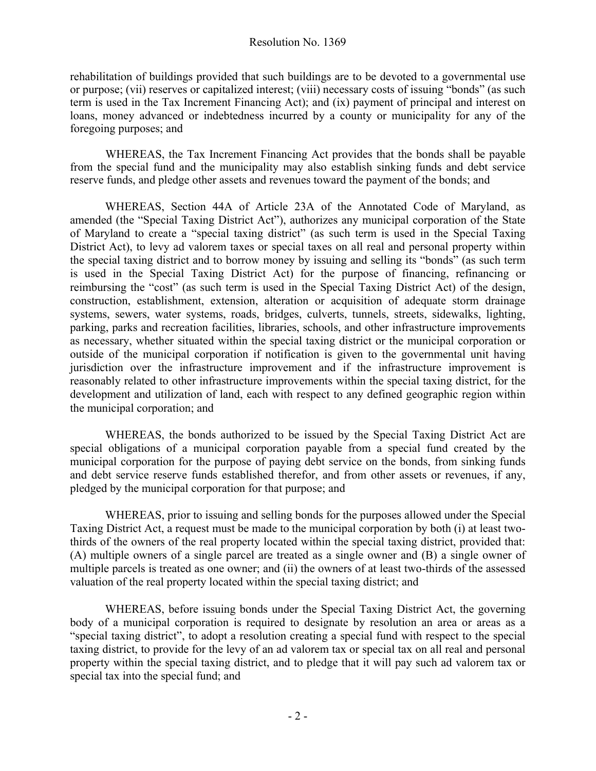rehabilitation of buildings provided that such buildings are to be devoted to a governmental use or purpose; (vii) reserves or capitalized interest; (viii) necessary costs of issuing "bonds" (as such term is used in the Tax Increment Financing Act); and (ix) payment of principal and interest on loans, money advanced or indebtedness incurred by a county or municipality for any of the foregoing purposes; and

WHEREAS, the Tax Increment Financing Act provides that the bonds shall be payable from the special fund and the municipality may also establish sinking funds and debt service reserve funds, and pledge other assets and revenues toward the payment of the bonds; and

WHEREAS, Section 44A of Article 23A of the Annotated Code of Maryland, as amended (the "Special Taxing District Act"), authorizes any municipal corporation of the State of Maryland to create a "special taxing district" (as such term is used in the Special Taxing District Act), to levy ad valorem taxes or special taxes on all real and personal property within the special taxing district and to borrow money by issuing and selling its "bonds" (as such term is used in the Special Taxing District Act) for the purpose of financing, refinancing or reimbursing the "cost" (as such term is used in the Special Taxing District Act) of the design, construction, establishment, extension, alteration or acquisition of adequate storm drainage systems, sewers, water systems, roads, bridges, culverts, tunnels, streets, sidewalks, lighting, parking, parks and recreation facilities, libraries, schools, and other infrastructure improvements as necessary, whether situated within the special taxing district or the municipal corporation or outside of the municipal corporation if notification is given to the governmental unit having jurisdiction over the infrastructure improvement and if the infrastructure improvement is reasonably related to other infrastructure improvements within the special taxing district, for the development and utilization of land, each with respect to any defined geographic region within the municipal corporation; and

WHEREAS, the bonds authorized to be issued by the Special Taxing District Act are special obligations of a municipal corporation payable from a special fund created by the municipal corporation for the purpose of paying debt service on the bonds, from sinking funds and debt service reserve funds established therefor, and from other assets or revenues, if any, pledged by the municipal corporation for that purpose; and

 WHEREAS, prior to issuing and selling bonds for the purposes allowed under the Special Taxing District Act, a request must be made to the municipal corporation by both (i) at least twothirds of the owners of the real property located within the special taxing district, provided that: (A) multiple owners of a single parcel are treated as a single owner and (B) a single owner of multiple parcels is treated as one owner; and (ii) the owners of at least two-thirds of the assessed valuation of the real property located within the special taxing district; and

WHEREAS, before issuing bonds under the Special Taxing District Act, the governing body of a municipal corporation is required to designate by resolution an area or areas as a "special taxing district", to adopt a resolution creating a special fund with respect to the special taxing district, to provide for the levy of an ad valorem tax or special tax on all real and personal property within the special taxing district, and to pledge that it will pay such ad valorem tax or special tax into the special fund; and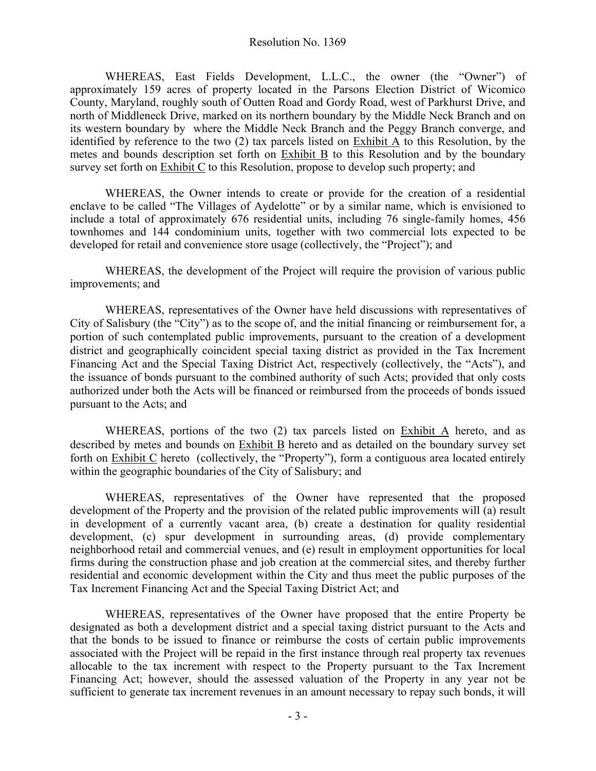WHEREAS, East Fields Development, L.L.C., the owner (the "Owner") of approximately 159 acres of property located in the Parsons Election District of Wicomico County, Maryland, roughly south of Outten Road and Gordy Road, west of Parkhurst Drive, and north of Middleneck Drive, marked on its northern boundary by the Middle Neck Branch and on its western boundary by where the Middle Neck Branch and the Peggy Branch converge, and identified by reference to the two (2) tax parcels listed on Exhibit A to this Resolution, by the metes and bounds description set forth on Exhibit B to this Resolution and by the boundary survey set forth on Exhibit C to this Resolution, propose to develop such property; and

WHEREAS, the Owner intends to create or provide for the creation of a residential enclave to be called "The Villages of Aydelotte" or by a similar name, which is envisioned to include a total of approximately 676 residential units, including 76 single-family homes, 456 townhomes and 144 condominium units, together with two commercial lots expected to be developed for retail and convenience store usage (collectively, the "Project"); and

WHEREAS, the development of the Project will require the provision of various public improvements; and

WHEREAS, representatives of the Owner have held discussions with representatives of City of Salisbury (the "City") as to the scope of, and the initial financing or reimbursement for, a portion of such contemplated public improvements, pursuant to the creation of a development district and geographically coincident special taxing district as provided in the Tax Increment Financing Act and the Special Taxing District Act, respectively (collectively, the "Acts"), and the issuance of bonds pursuant to the combined authority of such Acts; provided that only costs authorized under both the Acts will be financed or reimbursed from the proceeds of bonds issued pursuant to the Acts; and

WHEREAS, portions of the two (2) tax parcels listed on Exhibit A hereto, and as described by metes and bounds on Exhibit B hereto and as detailed on the boundary survey set forth on Exhibit C hereto (collectively, the "Property"), form a contiguous area located entirely within the geographic boundaries of the City of Salisbury; and

WHEREAS, representatives of the Owner have represented that the proposed development of the Property and the provision of the related public improvements will (a) result in development of a currently vacant area, (b) create a destination for quality residential development, (c) spur development in surrounding areas, (d) provide complementary neighborhood retail and commercial venues, and (e) result in employment opportunities for local firms during the construction phase and job creation at the commercial sites, and thereby further residential and economic development within the City and thus meet the public purposes of the Tax Increment Financing Act and the Special Taxing District Act; and

WHEREAS, representatives of the Owner have proposed that the entire Property be designated as both a development district and a special taxing district pursuant to the Acts and that the bonds to be issued to finance or reimburse the costs of certain public improvements associated with the Project will be repaid in the first instance through real property tax revenues allocable to the tax increment with respect to the Property pursuant to the Tax Increment Financing Act; however, should the assessed valuation of the Property in any year not be sufficient to generate tax increment revenues in an amount necessary to repay such bonds, it will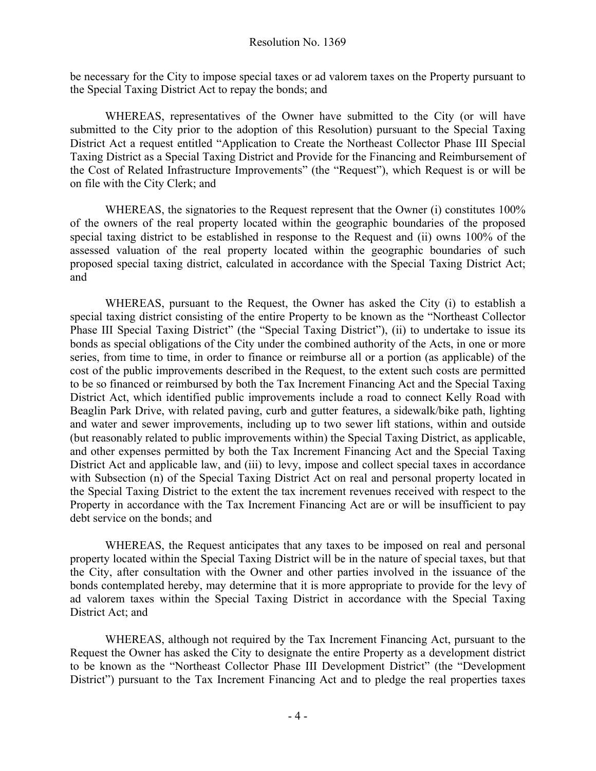be necessary for the City to impose special taxes or ad valorem taxes on the Property pursuant to the Special Taxing District Act to repay the bonds; and

WHEREAS, representatives of the Owner have submitted to the City (or will have submitted to the City prior to the adoption of this Resolution) pursuant to the Special Taxing District Act a request entitled "Application to Create the Northeast Collector Phase III Special Taxing District as a Special Taxing District and Provide for the Financing and Reimbursement of the Cost of Related Infrastructure Improvements" (the "Request"), which Request is or will be on file with the City Clerk; and

WHEREAS, the signatories to the Request represent that the Owner (i) constitutes 100% of the owners of the real property located within the geographic boundaries of the proposed special taxing district to be established in response to the Request and (ii) owns 100% of the assessed valuation of the real property located within the geographic boundaries of such proposed special taxing district, calculated in accordance with the Special Taxing District Act; and

WHEREAS, pursuant to the Request, the Owner has asked the City (i) to establish a special taxing district consisting of the entire Property to be known as the "Northeast Collector Phase III Special Taxing District" (the "Special Taxing District"), (ii) to undertake to issue its bonds as special obligations of the City under the combined authority of the Acts, in one or more series, from time to time, in order to finance or reimburse all or a portion (as applicable) of the cost of the public improvements described in the Request, to the extent such costs are permitted to be so financed or reimbursed by both the Tax Increment Financing Act and the Special Taxing District Act, which identified public improvements include a road to connect Kelly Road with Beaglin Park Drive, with related paving, curb and gutter features, a sidewalk/bike path, lighting and water and sewer improvements, including up to two sewer lift stations, within and outside (but reasonably related to public improvements within) the Special Taxing District, as applicable, and other expenses permitted by both the Tax Increment Financing Act and the Special Taxing District Act and applicable law, and (iii) to levy, impose and collect special taxes in accordance with Subsection (n) of the Special Taxing District Act on real and personal property located in the Special Taxing District to the extent the tax increment revenues received with respect to the Property in accordance with the Tax Increment Financing Act are or will be insufficient to pay debt service on the bonds; and

WHEREAS, the Request anticipates that any taxes to be imposed on real and personal property located within the Special Taxing District will be in the nature of special taxes, but that the City, after consultation with the Owner and other parties involved in the issuance of the bonds contemplated hereby, may determine that it is more appropriate to provide for the levy of ad valorem taxes within the Special Taxing District in accordance with the Special Taxing District Act; and

WHEREAS, although not required by the Tax Increment Financing Act, pursuant to the Request the Owner has asked the City to designate the entire Property as a development district to be known as the "Northeast Collector Phase III Development District" (the "Development District") pursuant to the Tax Increment Financing Act and to pledge the real properties taxes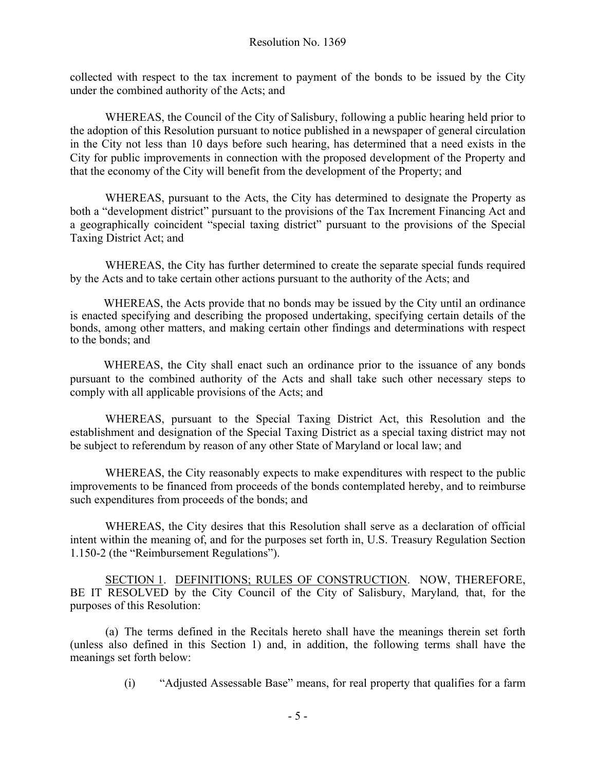collected with respect to the tax increment to payment of the bonds to be issued by the City under the combined authority of the Acts; and

WHEREAS, the Council of the City of Salisbury, following a public hearing held prior to the adoption of this Resolution pursuant to notice published in a newspaper of general circulation in the City not less than 10 days before such hearing, has determined that a need exists in the City for public improvements in connection with the proposed development of the Property and that the economy of the City will benefit from the development of the Property; and

WHEREAS, pursuant to the Acts, the City has determined to designate the Property as both a "development district" pursuant to the provisions of the Tax Increment Financing Act and a geographically coincident "special taxing district" pursuant to the provisions of the Special Taxing District Act; and

WHEREAS, the City has further determined to create the separate special funds required by the Acts and to take certain other actions pursuant to the authority of the Acts; and

WHEREAS, the Acts provide that no bonds may be issued by the City until an ordinance is enacted specifying and describing the proposed undertaking, specifying certain details of the bonds, among other matters, and making certain other findings and determinations with respect to the bonds; and

WHEREAS, the City shall enact such an ordinance prior to the issuance of any bonds pursuant to the combined authority of the Acts and shall take such other necessary steps to comply with all applicable provisions of the Acts; and

WHEREAS, pursuant to the Special Taxing District Act, this Resolution and the establishment and designation of the Special Taxing District as a special taxing district may not be subject to referendum by reason of any other State of Maryland or local law; and

WHEREAS, the City reasonably expects to make expenditures with respect to the public improvements to be financed from proceeds of the bonds contemplated hereby, and to reimburse such expenditures from proceeds of the bonds; and

WHEREAS, the City desires that this Resolution shall serve as a declaration of official intent within the meaning of, and for the purposes set forth in, U.S. Treasury Regulation Section 1.150-2 (the "Reimbursement Regulations").

SECTION 1. DEFINITIONS; RULES OF CONSTRUCTION. NOW, THEREFORE, BE IT RESOLVED by the City Council of the City of Salisbury, Maryland*,* that, for the purposes of this Resolution:

(a) The terms defined in the Recitals hereto shall have the meanings therein set forth (unless also defined in this Section 1) and, in addition, the following terms shall have the meanings set forth below:

(i) "Adjusted Assessable Base" means, for real property that qualifies for a farm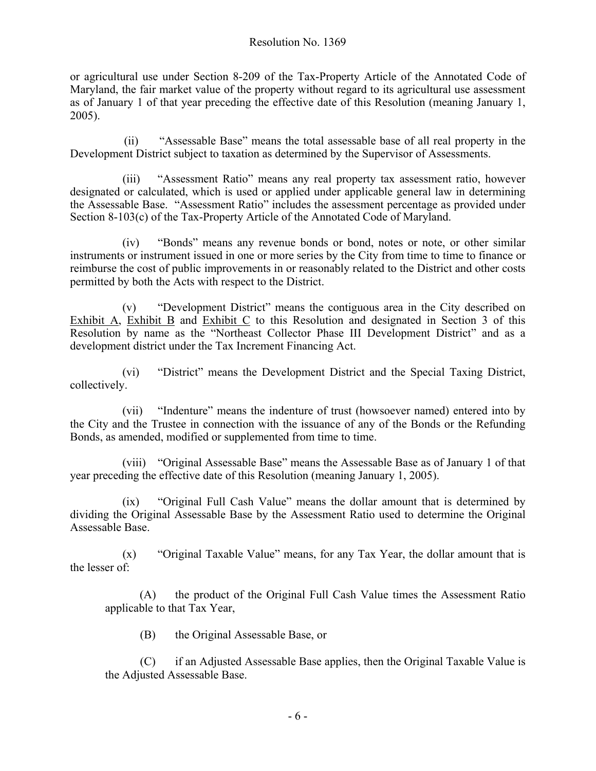or agricultural use under Section 8-209 of the Tax-Property Article of the Annotated Code of Maryland, the fair market value of the property without regard to its agricultural use assessment as of January 1 of that year preceding the effective date of this Resolution (meaning January 1, 2005).

(ii) "Assessable Base" means the total assessable base of all real property in the Development District subject to taxation as determined by the Supervisor of Assessments.

(iii) "Assessment Ratio" means any real property tax assessment ratio, however designated or calculated, which is used or applied under applicable general law in determining the Assessable Base. "Assessment Ratio" includes the assessment percentage as provided under Section 8-103(c) of the Tax-Property Article of the Annotated Code of Maryland.

(iv) "Bonds" means any revenue bonds or bond, notes or note, or other similar instruments or instrument issued in one or more series by the City from time to time to finance or reimburse the cost of public improvements in or reasonably related to the District and other costs permitted by both the Acts with respect to the District.

(v) "Development District" means the contiguous area in the City described on Exhibit A, Exhibit B and Exhibit C to this Resolution and designated in Section 3 of this Resolution by name as the "Northeast Collector Phase III Development District" and as a development district under the Tax Increment Financing Act.

(vi) "District" means the Development District and the Special Taxing District, collectively.

(vii) "Indenture" means the indenture of trust (howsoever named) entered into by the City and the Trustee in connection with the issuance of any of the Bonds or the Refunding Bonds, as amended, modified or supplemented from time to time.

(viii) "Original Assessable Base" means the Assessable Base as of January 1 of that year preceding the effective date of this Resolution (meaning January 1, 2005).

(ix) "Original Full Cash Value" means the dollar amount that is determined by dividing the Original Assessable Base by the Assessment Ratio used to determine the Original Assessable Base.

(x) "Original Taxable Value" means, for any Tax Year, the dollar amount that is the lesser of:

(A) the product of the Original Full Cash Value times the Assessment Ratio applicable to that Tax Year,

(B) the Original Assessable Base, or

(C) if an Adjusted Assessable Base applies, then the Original Taxable Value is the Adjusted Assessable Base.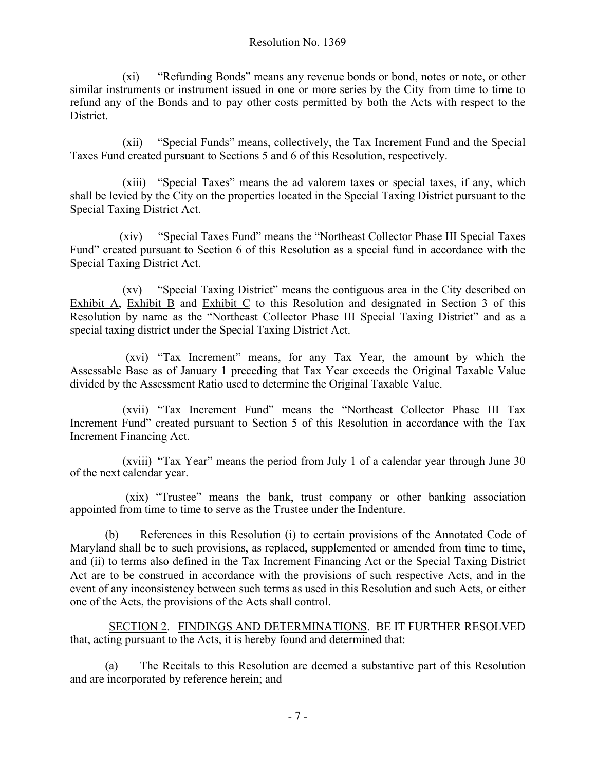(xi) "Refunding Bonds" means any revenue bonds or bond, notes or note, or other similar instruments or instrument issued in one or more series by the City from time to time to refund any of the Bonds and to pay other costs permitted by both the Acts with respect to the District.

(xii) "Special Funds" means, collectively, the Tax Increment Fund and the Special Taxes Fund created pursuant to Sections 5 and 6 of this Resolution, respectively.

(xiii) "Special Taxes" means the ad valorem taxes or special taxes, if any, which shall be levied by the City on the properties located in the Special Taxing District pursuant to the Special Taxing District Act.

(xiv) "Special Taxes Fund" means the "Northeast Collector Phase III Special Taxes Fund" created pursuant to Section 6 of this Resolution as a special fund in accordance with the Special Taxing District Act.

(xv) "Special Taxing District" means the contiguous area in the City described on Exhibit A, Exhibit B and Exhibit C to this Resolution and designated in Section 3 of this Resolution by name as the "Northeast Collector Phase III Special Taxing District" and as a special taxing district under the Special Taxing District Act.

(xvi) "Tax Increment" means, for any Tax Year, the amount by which the Assessable Base as of January 1 preceding that Tax Year exceeds the Original Taxable Value divided by the Assessment Ratio used to determine the Original Taxable Value.

(xvii) "Tax Increment Fund" means the "Northeast Collector Phase III Tax Increment Fund" created pursuant to Section 5 of this Resolution in accordance with the Tax Increment Financing Act.

(xviii) "Tax Year" means the period from July 1 of a calendar year through June 30 of the next calendar year.

(xix) "Trustee" means the bank, trust company or other banking association appointed from time to time to serve as the Trustee under the Indenture.

(b) References in this Resolution (i) to certain provisions of the Annotated Code of Maryland shall be to such provisions, as replaced, supplemented or amended from time to time, and (ii) to terms also defined in the Tax Increment Financing Act or the Special Taxing District Act are to be construed in accordance with the provisions of such respective Acts, and in the event of any inconsistency between such terms as used in this Resolution and such Acts, or either one of the Acts, the provisions of the Acts shall control.

SECTION 2. FINDINGS AND DETERMINATIONS. BE IT FURTHER RESOLVED that, acting pursuant to the Acts, it is hereby found and determined that:

(a) The Recitals to this Resolution are deemed a substantive part of this Resolution and are incorporated by reference herein; and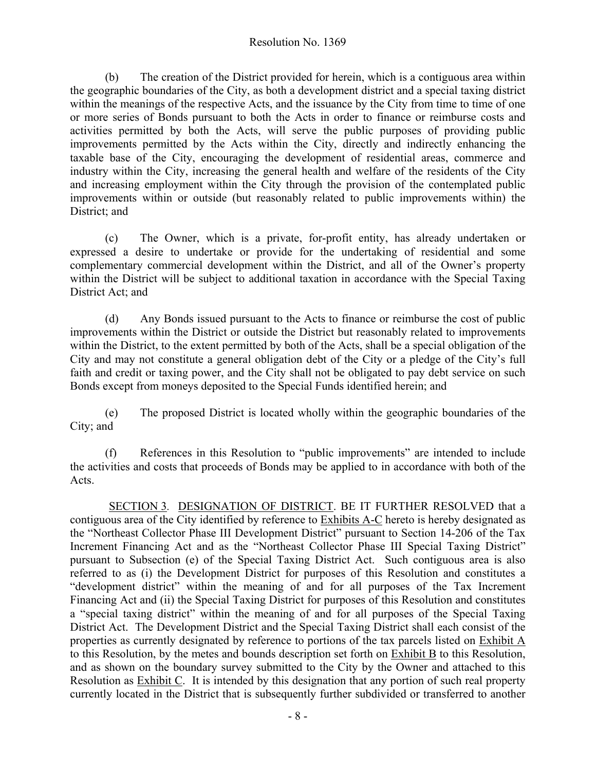(b) The creation of the District provided for herein, which is a contiguous area within the geographic boundaries of the City, as both a development district and a special taxing district within the meanings of the respective Acts, and the issuance by the City from time to time of one or more series of Bonds pursuant to both the Acts in order to finance or reimburse costs and activities permitted by both the Acts, will serve the public purposes of providing public improvements permitted by the Acts within the City, directly and indirectly enhancing the taxable base of the City, encouraging the development of residential areas, commerce and industry within the City, increasing the general health and welfare of the residents of the City and increasing employment within the City through the provision of the contemplated public improvements within or outside (but reasonably related to public improvements within) the District; and

(c) The Owner, which is a private, for-profit entity, has already undertaken or expressed a desire to undertake or provide for the undertaking of residential and some complementary commercial development within the District, and all of the Owner's property within the District will be subject to additional taxation in accordance with the Special Taxing District Act; and

(d) Any Bonds issued pursuant to the Acts to finance or reimburse the cost of public improvements within the District or outside the District but reasonably related to improvements within the District, to the extent permitted by both of the Acts, shall be a special obligation of the City and may not constitute a general obligation debt of the City or a pledge of the City's full faith and credit or taxing power, and the City shall not be obligated to pay debt service on such Bonds except from moneys deposited to the Special Funds identified herein; and

(e) The proposed District is located wholly within the geographic boundaries of the City; and

(f) References in this Resolution to "public improvements" are intended to include the activities and costs that proceeds of Bonds may be applied to in accordance with both of the Acts.

SECTION 3*.* DESIGNATION OF DISTRICT. BE IT FURTHER RESOLVED that a contiguous area of the City identified by reference to Exhibits A-C hereto is hereby designated as the "Northeast Collector Phase III Development District" pursuant to Section 14-206 of the Tax Increment Financing Act and as the "Northeast Collector Phase III Special Taxing District" pursuant to Subsection (e) of the Special Taxing District Act. Such contiguous area is also referred to as (i) the Development District for purposes of this Resolution and constitutes a "development district" within the meaning of and for all purposes of the Tax Increment Financing Act and (ii) the Special Taxing District for purposes of this Resolution and constitutes a "special taxing district" within the meaning of and for all purposes of the Special Taxing District Act. The Development District and the Special Taxing District shall each consist of the properties as currently designated by reference to portions of the tax parcels listed on Exhibit A to this Resolution, by the metes and bounds description set forth on Exhibit B to this Resolution, and as shown on the boundary survey submitted to the City by the Owner and attached to this Resolution as Exhibit C. It is intended by this designation that any portion of such real property currently located in the District that is subsequently further subdivided or transferred to another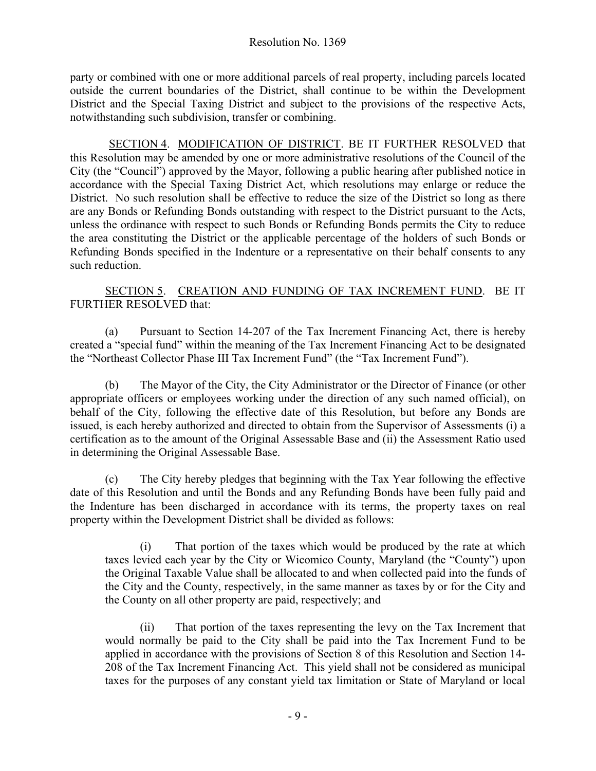party or combined with one or more additional parcels of real property, including parcels located outside the current boundaries of the District, shall continue to be within the Development District and the Special Taxing District and subject to the provisions of the respective Acts, notwithstanding such subdivision, transfer or combining.

SECTION 4. MODIFICATION OF DISTRICT. BE IT FURTHER RESOLVED that this Resolution may be amended by one or more administrative resolutions of the Council of the City (the "Council") approved by the Mayor, following a public hearing after published notice in accordance with the Special Taxing District Act, which resolutions may enlarge or reduce the District. No such resolution shall be effective to reduce the size of the District so long as there are any Bonds or Refunding Bonds outstanding with respect to the District pursuant to the Acts, unless the ordinance with respect to such Bonds or Refunding Bonds permits the City to reduce the area constituting the District or the applicable percentage of the holders of such Bonds or Refunding Bonds specified in the Indenture or a representative on their behalf consents to any such reduction

#### SECTION 5. CREATION AND FUNDING OF TAX INCREMENT FUND. BE IT FURTHER RESOLVED that:

(a) Pursuant to Section 14-207 of the Tax Increment Financing Act, there is hereby created a "special fund" within the meaning of the Tax Increment Financing Act to be designated the "Northeast Collector Phase III Tax Increment Fund" (the "Tax Increment Fund").

(b) The Mayor of the City, the City Administrator or the Director of Finance (or other appropriate officers or employees working under the direction of any such named official), on behalf of the City, following the effective date of this Resolution, but before any Bonds are issued, is each hereby authorized and directed to obtain from the Supervisor of Assessments (i) a certification as to the amount of the Original Assessable Base and (ii) the Assessment Ratio used in determining the Original Assessable Base.

(c) The City hereby pledges that beginning with the Tax Year following the effective date of this Resolution and until the Bonds and any Refunding Bonds have been fully paid and the Indenture has been discharged in accordance with its terms, the property taxes on real property within the Development District shall be divided as follows:

(i) That portion of the taxes which would be produced by the rate at which taxes levied each year by the City or Wicomico County, Maryland (the "County") upon the Original Taxable Value shall be allocated to and when collected paid into the funds of the City and the County, respectively, in the same manner as taxes by or for the City and the County on all other property are paid, respectively; and

(ii) That portion of the taxes representing the levy on the Tax Increment that would normally be paid to the City shall be paid into the Tax Increment Fund to be applied in accordance with the provisions of Section 8 of this Resolution and Section 14- 208 of the Tax Increment Financing Act. This yield shall not be considered as municipal taxes for the purposes of any constant yield tax limitation or State of Maryland or local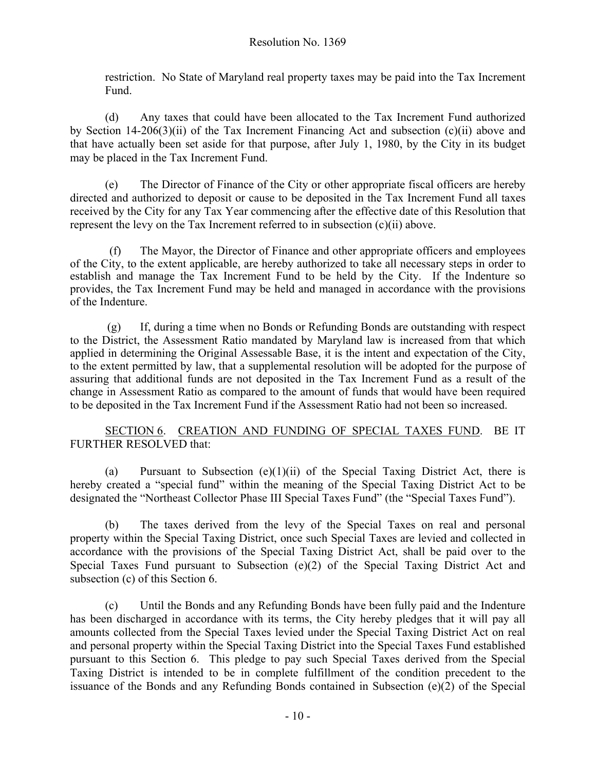restriction. No State of Maryland real property taxes may be paid into the Tax Increment Fund.

(d) Any taxes that could have been allocated to the Tax Increment Fund authorized by Section 14-206(3)(ii) of the Tax Increment Financing Act and subsection (c)(ii) above and that have actually been set aside for that purpose, after July 1, 1980, by the City in its budget may be placed in the Tax Increment Fund.

(e) The Director of Finance of the City or other appropriate fiscal officers are hereby directed and authorized to deposit or cause to be deposited in the Tax Increment Fund all taxes received by the City for any Tax Year commencing after the effective date of this Resolution that represent the levy on the Tax Increment referred to in subsection (c)(ii) above.

(f) The Mayor, the Director of Finance and other appropriate officers and employees of the City, to the extent applicable, are hereby authorized to take all necessary steps in order to establish and manage the Tax Increment Fund to be held by the City. If the Indenture so provides, the Tax Increment Fund may be held and managed in accordance with the provisions of the Indenture.

(g) If, during a time when no Bonds or Refunding Bonds are outstanding with respect to the District, the Assessment Ratio mandated by Maryland law is increased from that which applied in determining the Original Assessable Base, it is the intent and expectation of the City, to the extent permitted by law, that a supplemental resolution will be adopted for the purpose of assuring that additional funds are not deposited in the Tax Increment Fund as a result of the change in Assessment Ratio as compared to the amount of funds that would have been required to be deposited in the Tax Increment Fund if the Assessment Ratio had not been so increased.

### SECTION 6. CREATION AND FUNDING OF SPECIAL TAXES FUND. BE IT FURTHER RESOLVED that:

(a) Pursuant to Subsection  $(e)(1)(ii)$  of the Special Taxing District Act, there is hereby created a "special fund" within the meaning of the Special Taxing District Act to be designated the "Northeast Collector Phase III Special Taxes Fund" (the "Special Taxes Fund").

(b) The taxes derived from the levy of the Special Taxes on real and personal property within the Special Taxing District, once such Special Taxes are levied and collected in accordance with the provisions of the Special Taxing District Act, shall be paid over to the Special Taxes Fund pursuant to Subsection (e)(2) of the Special Taxing District Act and subsection (c) of this Section 6.

(c) Until the Bonds and any Refunding Bonds have been fully paid and the Indenture has been discharged in accordance with its terms, the City hereby pledges that it will pay all amounts collected from the Special Taxes levied under the Special Taxing District Act on real and personal property within the Special Taxing District into the Special Taxes Fund established pursuant to this Section 6. This pledge to pay such Special Taxes derived from the Special Taxing District is intended to be in complete fulfillment of the condition precedent to the issuance of the Bonds and any Refunding Bonds contained in Subsection (e)(2) of the Special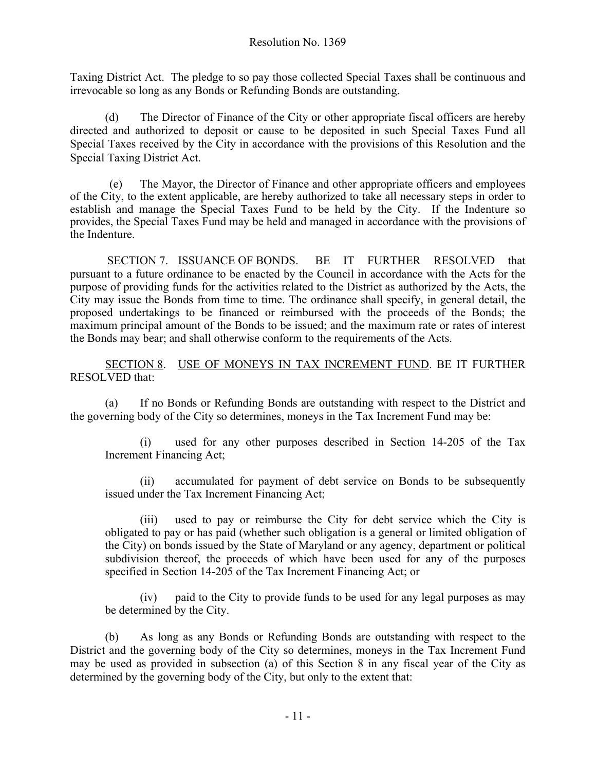Taxing District Act. The pledge to so pay those collected Special Taxes shall be continuous and irrevocable so long as any Bonds or Refunding Bonds are outstanding.

(d) The Director of Finance of the City or other appropriate fiscal officers are hereby directed and authorized to deposit or cause to be deposited in such Special Taxes Fund all Special Taxes received by the City in accordance with the provisions of this Resolution and the Special Taxing District Act.

(e) The Mayor, the Director of Finance and other appropriate officers and employees of the City, to the extent applicable, are hereby authorized to take all necessary steps in order to establish and manage the Special Taxes Fund to be held by the City. If the Indenture so provides, the Special Taxes Fund may be held and managed in accordance with the provisions of the Indenture.

SECTION 7. ISSUANCE OF BONDS. BE IT FURTHER RESOLVED that pursuant to a future ordinance to be enacted by the Council in accordance with the Acts for the purpose of providing funds for the activities related to the District as authorized by the Acts, the City may issue the Bonds from time to time. The ordinance shall specify, in general detail, the proposed undertakings to be financed or reimbursed with the proceeds of the Bonds; the maximum principal amount of the Bonds to be issued; and the maximum rate or rates of interest the Bonds may bear; and shall otherwise conform to the requirements of the Acts.

SECTION 8. USE OF MONEYS IN TAX INCREMENT FUND. BE IT FURTHER RESOLVED that:

(a) If no Bonds or Refunding Bonds are outstanding with respect to the District and the governing body of the City so determines, moneys in the Tax Increment Fund may be:

(i) used for any other purposes described in Section 14-205 of the Tax Increment Financing Act;

(ii) accumulated for payment of debt service on Bonds to be subsequently issued under the Tax Increment Financing Act;

(iii) used to pay or reimburse the City for debt service which the City is obligated to pay or has paid (whether such obligation is a general or limited obligation of the City) on bonds issued by the State of Maryland or any agency, department or political subdivision thereof, the proceeds of which have been used for any of the purposes specified in Section 14-205 of the Tax Increment Financing Act; or

(iv) paid to the City to provide funds to be used for any legal purposes as may be determined by the City.

(b) As long as any Bonds or Refunding Bonds are outstanding with respect to the District and the governing body of the City so determines, moneys in the Tax Increment Fund may be used as provided in subsection (a) of this Section 8 in any fiscal year of the City as determined by the governing body of the City, but only to the extent that: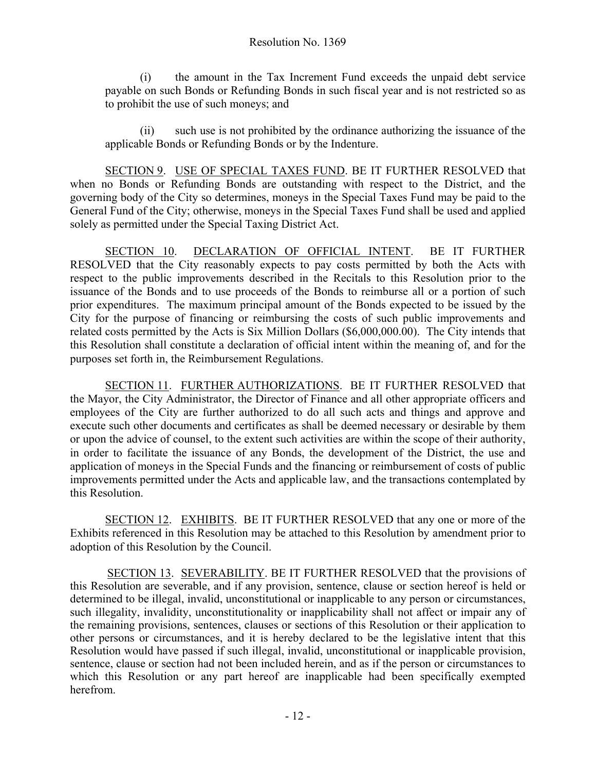(i) the amount in the Tax Increment Fund exceeds the unpaid debt service payable on such Bonds or Refunding Bonds in such fiscal year and is not restricted so as to prohibit the use of such moneys; and

(ii) such use is not prohibited by the ordinance authorizing the issuance of the applicable Bonds or Refunding Bonds or by the Indenture.

SECTION 9. USE OF SPECIAL TAXES FUND. BE IT FURTHER RESOLVED that when no Bonds or Refunding Bonds are outstanding with respect to the District, and the governing body of the City so determines, moneys in the Special Taxes Fund may be paid to the General Fund of the City; otherwise, moneys in the Special Taxes Fund shall be used and applied solely as permitted under the Special Taxing District Act.

SECTION 10. DECLARATION OF OFFICIAL INTENT. BE IT FURTHER RESOLVED that the City reasonably expects to pay costs permitted by both the Acts with respect to the public improvements described in the Recitals to this Resolution prior to the issuance of the Bonds and to use proceeds of the Bonds to reimburse all or a portion of such prior expenditures. The maximum principal amount of the Bonds expected to be issued by the City for the purpose of financing or reimbursing the costs of such public improvements and related costs permitted by the Acts is Six Million Dollars (\$6,000,000.00). The City intends that this Resolution shall constitute a declaration of official intent within the meaning of, and for the purposes set forth in, the Reimbursement Regulations.

SECTION 11. FURTHER AUTHORIZATIONS. BE IT FURTHER RESOLVED that the Mayor, the City Administrator, the Director of Finance and all other appropriate officers and employees of the City are further authorized to do all such acts and things and approve and execute such other documents and certificates as shall be deemed necessary or desirable by them or upon the advice of counsel, to the extent such activities are within the scope of their authority, in order to facilitate the issuance of any Bonds, the development of the District, the use and application of moneys in the Special Funds and the financing or reimbursement of costs of public improvements permitted under the Acts and applicable law, and the transactions contemplated by this Resolution.

SECTION 12. EXHIBITS. BE IT FURTHER RESOLVED that any one or more of the Exhibits referenced in this Resolution may be attached to this Resolution by amendment prior to adoption of this Resolution by the Council.

SECTION 13. SEVERABILITY. BE IT FURTHER RESOLVED that the provisions of this Resolution are severable, and if any provision, sentence, clause or section hereof is held or determined to be illegal, invalid, unconstitutional or inapplicable to any person or circumstances, such illegality, invalidity, unconstitutionality or inapplicability shall not affect or impair any of the remaining provisions, sentences, clauses or sections of this Resolution or their application to other persons or circumstances, and it is hereby declared to be the legislative intent that this Resolution would have passed if such illegal, invalid, unconstitutional or inapplicable provision, sentence, clause or section had not been included herein, and as if the person or circumstances to which this Resolution or any part hereof are inapplicable had been specifically exempted herefrom.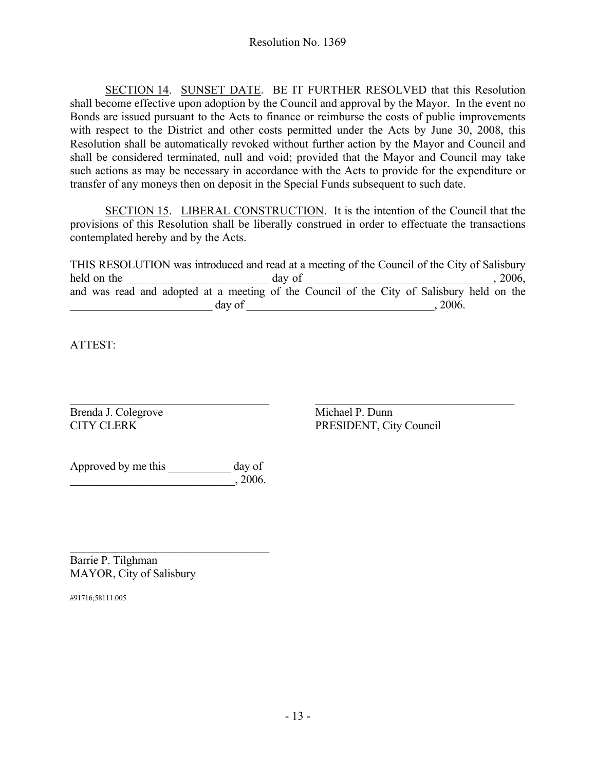SECTION 14. SUNSET DATE. BE IT FURTHER RESOLVED that this Resolution shall become effective upon adoption by the Council and approval by the Mayor. In the event no Bonds are issued pursuant to the Acts to finance or reimburse the costs of public improvements with respect to the District and other costs permitted under the Acts by June 30, 2008, this Resolution shall be automatically revoked without further action by the Mayor and Council and shall be considered terminated, null and void; provided that the Mayor and Council may take such actions as may be necessary in accordance with the Acts to provide for the expenditure or transfer of any moneys then on deposit in the Special Funds subsequent to such date.

SECTION 15. LIBERAL CONSTRUCTION. It is the intention of the Council that the provisions of this Resolution shall be liberally construed in order to effectuate the transactions contemplated hereby and by the Acts.

THIS RESOLUTION was introduced and read at a meeting of the Council of the City of Salisbury held on the day of and  $\frac{1}{2006}$ , 2006, and was read and adopted at a meeting of the Council of the City of Salisbury held on the  $\frac{day}{dx}$  of  $\frac{1}{2006}$ .

ATTEST:

 $\_$  , and the contribution of the contribution of  $\overline{\mathcal{L}}$  , and  $\overline{\mathcal{L}}$  , and  $\overline{\mathcal{L}}$  , and  $\overline{\mathcal{L}}$ Brenda J. Colegrove Michael P. Dunn

CITY CLERK PRESIDENT, City Council

Approved by me this \_\_\_\_\_\_\_\_\_\_\_ day of  $\frac{1}{2006}$ , 2006.

 $\mathcal{L}_\text{max}$  , where  $\mathcal{L}_\text{max}$  and  $\mathcal{L}_\text{max}$  and  $\mathcal{L}_\text{max}$ Barrie P. Tilghman MAYOR, City of Salisbury

#91716;58111.005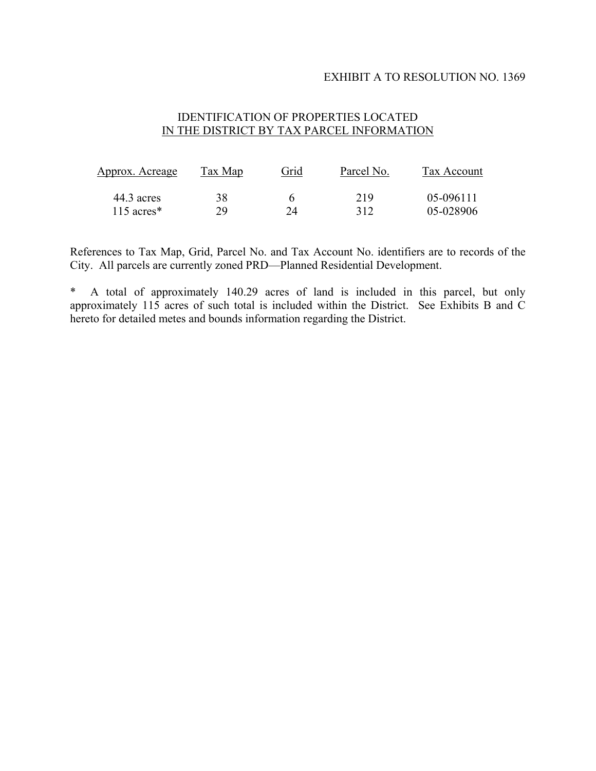#### EXHIBIT A TO RESOLUTION NO. 1369

#### IDENTIFICATION OF PROPERTIES LOCATED IN THE DISTRICT BY TAX PARCEL INFORMATION

| <u>Approx. Acreage</u><br>44.3 acres | Tax Map<br>38 | Grid | Parcel No.<br>219 | Tax Account<br>05-096111 |
|--------------------------------------|---------------|------|-------------------|--------------------------|
|                                      |               |      |                   |                          |

References to Tax Map, Grid, Parcel No. and Tax Account No. identifiers are to records of the City. All parcels are currently zoned PRD—Planned Residential Development.

\* A total of approximately 140.29 acres of land is included in this parcel, but only approximately 115 acres of such total is included within the District. See Exhibits B and C hereto for detailed metes and bounds information regarding the District.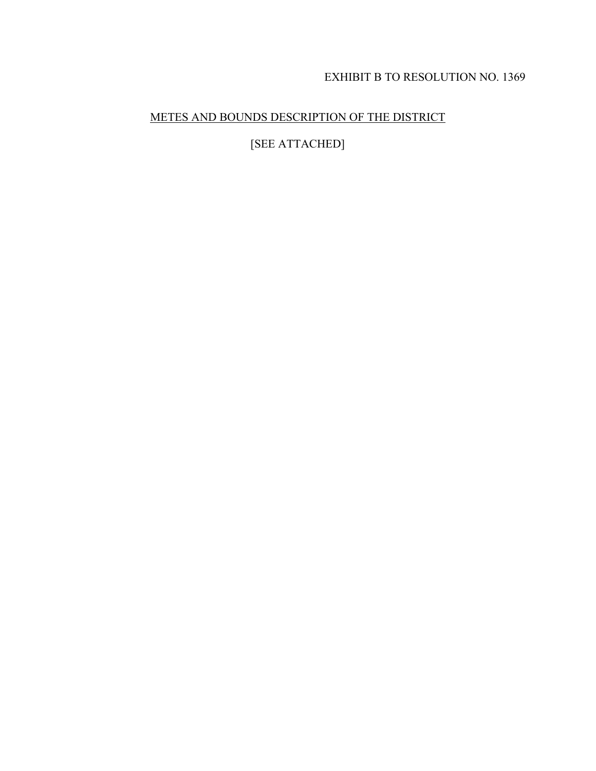# EXHIBIT B TO RESOLUTION NO. 1369

## METES AND BOUNDS DESCRIPTION OF THE DISTRICT

[SEE ATTACHED]